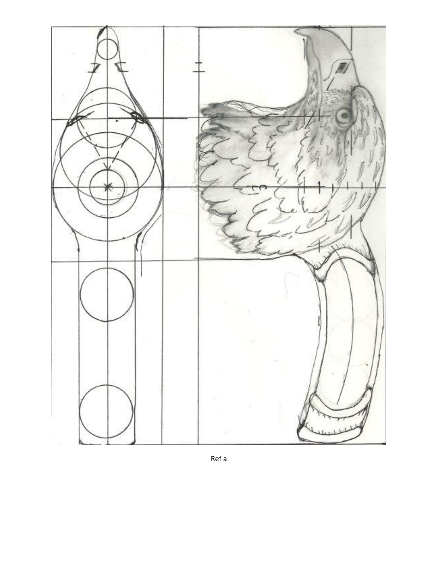

Ref a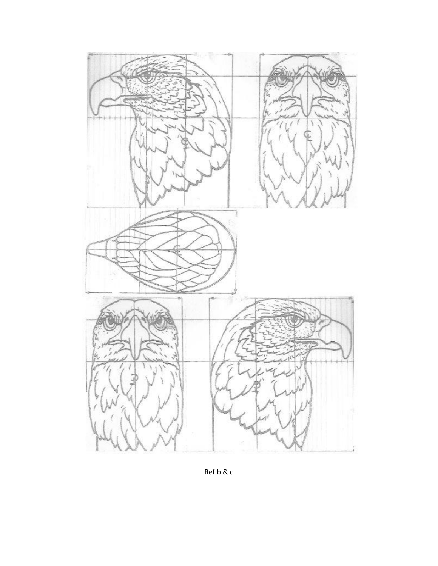

Ref b & c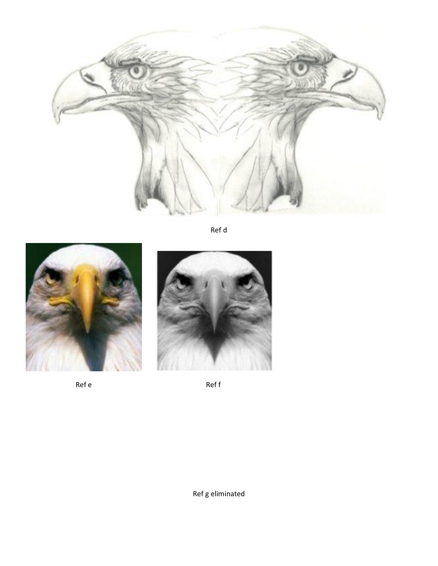

Ref d



Ref e





Ref f

Ref g eliminated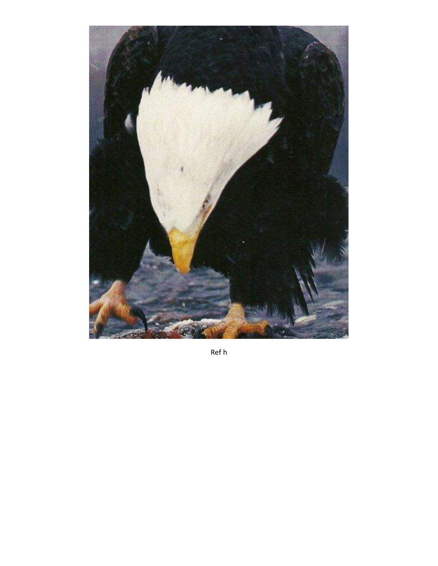

Ref h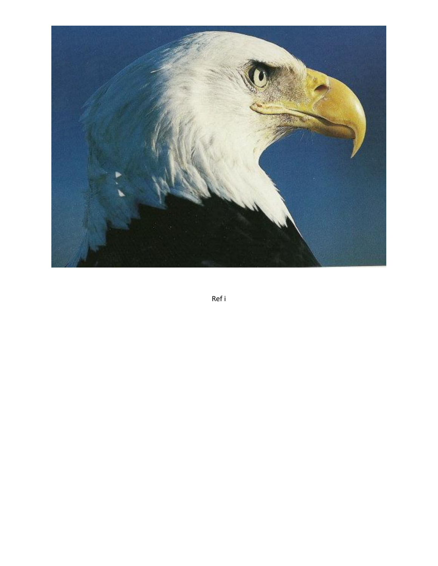

Ref i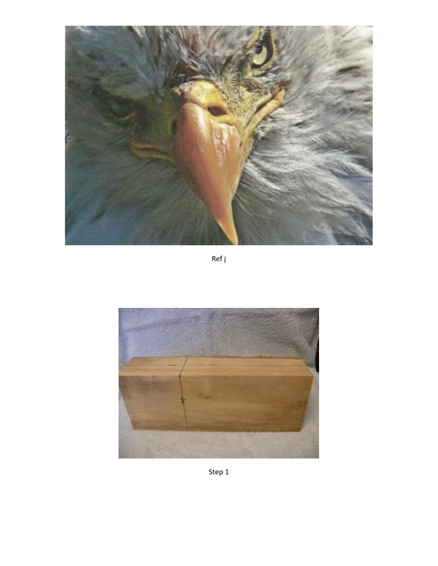

Ref j

![](_page_5_Picture_2.jpeg)

Step 1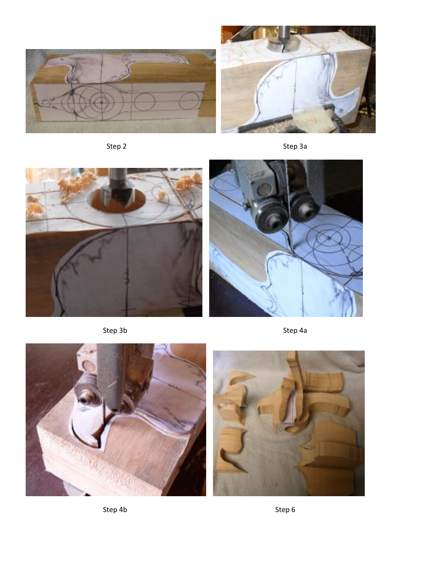![](_page_6_Picture_0.jpeg)

![](_page_6_Figure_2.jpeg)

Step 2 Step 3a

![](_page_6_Picture_4.jpeg)

![](_page_6_Picture_6.jpeg)

Step 3b Step 4a

![](_page_6_Picture_8.jpeg)

![](_page_6_Picture_9.jpeg)

Step 4b Step 6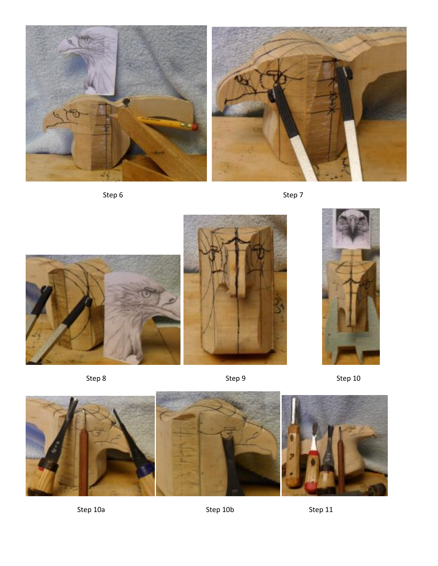![](_page_7_Picture_0.jpeg)

![](_page_7_Picture_1.jpeg)

![](_page_7_Figure_3.jpeg)

![](_page_7_Picture_4.jpeg)

![](_page_7_Picture_5.jpeg)

Step 8 Step 9 Step 9 Step 9 Step 10

![](_page_7_Picture_7.jpeg)

Step 10a Step 10b Step 11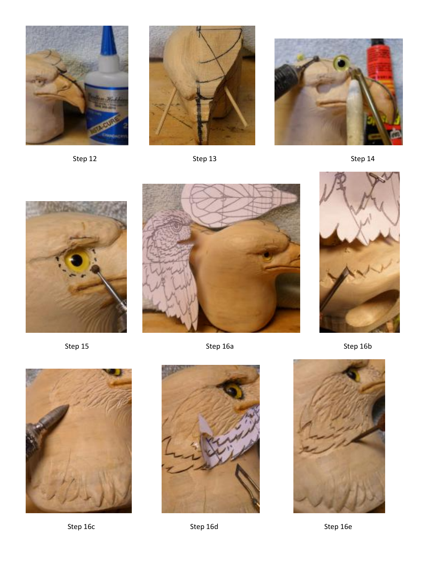![](_page_8_Picture_0.jpeg)

Step 12 Step 13 Step 13 Step 14

![](_page_8_Picture_2.jpeg)

![](_page_8_Picture_3.jpeg)

![](_page_8_Picture_5.jpeg)

![](_page_8_Picture_6.jpeg)

![](_page_8_Picture_7.jpeg)

![](_page_8_Picture_8.jpeg)

![](_page_8_Picture_10.jpeg)

Step 16c Step 16d Step 16d Step 16e

Step 15 Step 16a Step 16a Step 16a Step 16b

![](_page_8_Picture_13.jpeg)

![](_page_8_Picture_14.jpeg)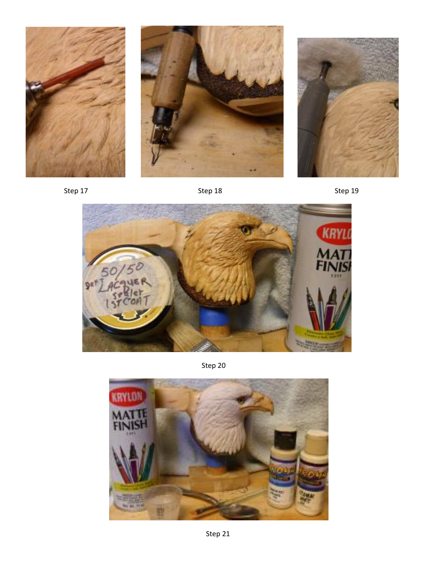![](_page_9_Picture_0.jpeg)

![](_page_9_Picture_1.jpeg)

![](_page_9_Picture_2.jpeg)

Step 17 Step 18 Step 18 Step 19 Step 19

![](_page_9_Picture_6.jpeg)

Step 20

![](_page_9_Picture_8.jpeg)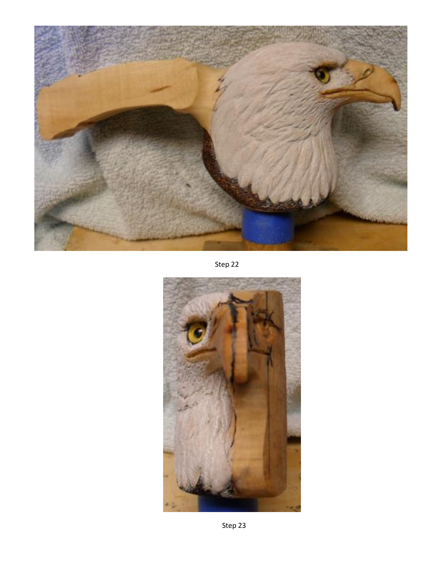![](_page_10_Picture_0.jpeg)

Step 22

![](_page_10_Picture_2.jpeg)

Step 23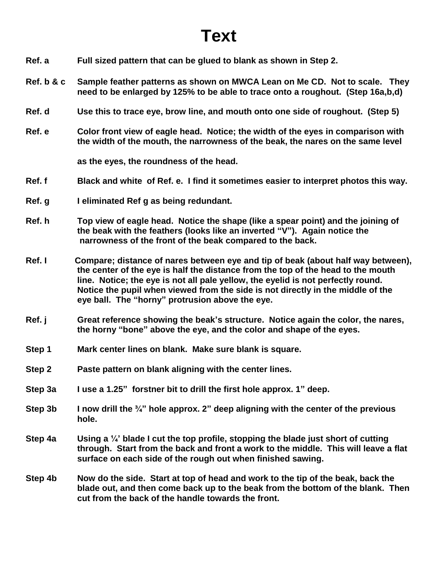## **Text**

- **Ref. a Full sized pattern that can be glued to blank as shown in Step 2.**
- **Ref. b & c Sample feather patterns as shown on MWCA Lean on Me CD. Not to scale. They need to be enlarged by 125% to be able to trace onto a roughout. (Step 16a,b,d)**
- **Ref. d Use this to trace eye, brow line, and mouth onto one side of roughout. (Step 5)**
- **Ref. e Color front view of eagle head. Notice; the width of the eyes in comparison with the width of the mouth, the narrowness of the beak, the nares on the same level**

**as the eyes, the roundness of the head.**

- **Ref. f Black and white of Ref. e. I find it sometimes easier to interpret photos this way.**
- **Ref. g I eliminated Ref g as being redundant.**
- **Ref. h Top view of eagle head. Notice the shape (like a spear point) and the joining of the beak with the feathers (looks like an inverted "V"). Again notice the narrowness of the front of the beak compared to the back.**
- **Ref. I Compare; distance of nares between eye and tip of beak (about half way between), the center of the eye is half the distance from the top of the head to the mouth line. Notice; the eye is not all pale yellow, the eyelid is not perfectly round. Notice the pupil when viewed from the side is not directly in the middle of the eye ball. The "horny" protrusion above the eye.**
- **Ref. j Great reference showing the beak's structure. Notice again the color, the nares, the horny "bone" above the eye, and the color and shape of the eyes.**
- **Step 1 Mark center lines on blank. Make sure blank is square.**
- **Step 2 Paste pattern on blank aligning with the center lines.**
- **Step 3a I use a 1.25" forstner bit to drill the first hole approx. 1" deep.**
- **Step 3b I now drill the ¾" hole approx. 2" deep aligning with the center of the previous hole.**
- **Step 4a Using a ¼' blade I cut the top profile, stopping the blade just short of cutting through. Start from the back and front a work to the middle. This will leave a flat surface on each side of the rough out when finished sawing.**
- **Step 4b Now do the side. Start at top of head and work to the tip of the beak, back the blade out, and then come back up to the beak from the bottom of the blank. Then cut from the back of the handle towards the front.**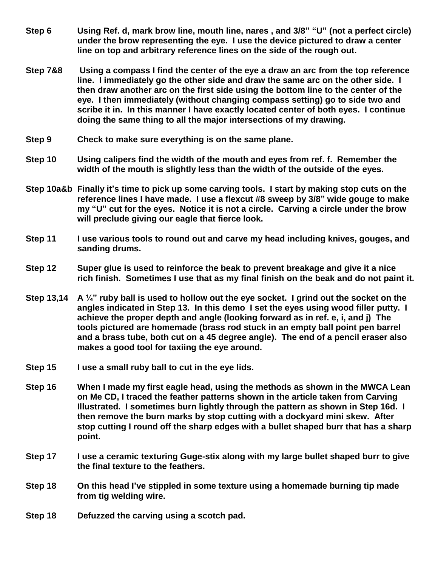- **Step 6 Using Ref. d, mark brow line, mouth line, nares , and 3/8" "U" (not a perfect circle) under the brow representing the eye. I use the device pictured to draw a center line on top and arbitrary reference lines on the side of the rough out.**
- **Step 7&8 Using a compass I find the center of the eye a draw an arc from the top reference line. I immediately go the other side and draw the same arc on the other side. I then draw another arc on the first side using the bottom line to the center of the eye. I then immediately (without changing compass setting) go to side two and scribe it in. In this manner I have exactly located center of both eyes. I continue doing the same thing to all the major intersections of my drawing.**
- **Step 9 Check to make sure everything is on the same plane.**
- **Step 10 Using calipers find the width of the mouth and eyes from ref. f. Remember the width of the mouth is slightly less than the width of the outside of the eyes.**
- **Step 10a&b Finally it's time to pick up some carving tools. I start by making stop cuts on the reference lines I have made. I use a flexcut #8 sweep by 3/8" wide gouge to make my "U" cut for the eyes. Notice it is not a circle. Carving a circle under the brow will preclude giving our eagle that fierce look.**
- **Step 11 I use various tools to round out and carve my head including knives, gouges, and sanding drums.**
- **Step 12 Super glue is used to reinforce the beak to prevent breakage and give it a nice rich finish. Sometimes I use that as my final finish on the beak and do not paint it.**
- **Step 13,14 A ¼" ruby ball is used to hollow out the eye socket. I grind out the socket on the angles indicated in Step 13. In this demo I set the eyes using wood filler putty. I achieve the proper depth and angle (looking forward as in ref. e, i, and j) The tools pictured are homemade (brass rod stuck in an empty ball point pen barrel and a brass tube, both cut on a 45 degree angle). The end of a pencil eraser also makes a good tool for taxiing the eye around.**
- **Step 15 I use a small ruby ball to cut in the eye lids.**
- **Step 16 When I made my first eagle head, using the methods as shown in the MWCA Lean on Me CD, I traced the feather patterns shown in the article taken from Carving Illustrated. I sometimes burn lightly through the pattern as shown in Step 16d. I then remove the burn marks by stop cutting with a dockyard mini skew. After stop cutting I round off the sharp edges with a bullet shaped burr that has a sharp point.**
- **Step 17 I use a ceramic texturing Guge-stix along with my large bullet shaped burr to give the final texture to the feathers.**
- **Step 18 On this head I've stippled in some texture using a homemade burning tip made from tig welding wire.**
- **Step 18 Defuzzed the carving using a scotch pad.**